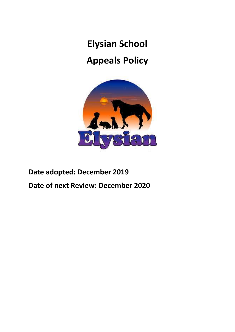**Elysian School** 

# **Appeals Policy**



# **Date adopted: December 2019 Date of next Review: December 2020**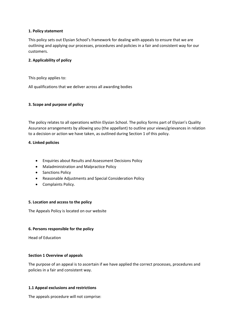#### **1. Policy statement**

This policy sets out Elysian School's framework for dealing with appeals to ensure that we are outlining and applying our processes, procedures and policies in a fair and consistent way for our customers.

### **2. Applicability of policy**

This policy applies to:

All qualifications that we deliver across all awarding bodies

#### **3. Scope and purpose of policy**

The policy relates to all operations within Elysian School. The policy forms part of Elysian's Quality Assurance arrangements by allowing you (the appellant) to outline your views/grievances in relation to a decision or action we have taken, as outlined during Section 1 of this policy.

#### **4. Linked policies**

- Enquiries about Results and Assessment Decisions Policy
- Maladministration and Malpractice Policy
- Sanctions Policy
- Reasonable Adjustments and Special Consideration Policy
- Complaints Policy.

#### **5. Location and access to the policy**

The Appeals Policy is located on our website

# **6. Persons responsible for the policy**

Head of Education

# **Section 1 Overview of appeals**

The purpose of an appeal is to ascertain if we have applied the correct processes, procedures and policies in a fair and consistent way.

# **1.1 Appeal exclusions and restrictions**

The appeals procedure will not comprise: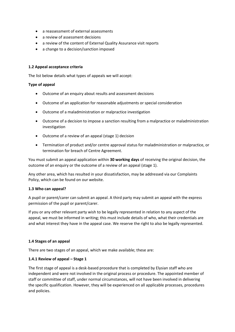- a reassessment of external assessments
- a review of assessment decisions
- a review of the content of External Quality Assurance visit reports
- a change to a decision/sanction imposed

#### **1.2 Appeal acceptance criteria**

The list below details what types of appeals we will accept:

#### **Type of appeal**

- Outcome of an enquiry about results and assessment decisions
- Outcome of an application for reasonable adjustments or special consideration
- Outcome of a maladministration or malpractice investigation
- Outcome of a decision to impose a sanction resulting from a malpractice or maladministration investigation
- Outcome of a review of an appeal (stage 1) decision
- Termination of product and/or centre approval status for maladministration or malpractice, or termination for breach of Centre Agreement.

You must submit an appeal application within **30 working days** of receiving the original decision, the outcome of an enquiry or the outcome of a review of an appeal (stage 1).

Any other area, which has resulted in your dissatisfaction, may be addressed via our Complaints Policy, which can be found on our website.

#### **1.3 Who can appeal?**

A pupil or parent/carer can submit an appeal. A third party may submit an appeal with the express permission of the pupil or parent/carer.

If you or any other relevant party wish to be legally represented in relation to any aspect of the appeal, we must be informed in writing; this must include details of who, what their credentials are and what interest they have in the appeal case. We reserve the right to also be legally represented.

#### **1.4 Stages of an appeal**

There are two stages of an appeal, which we make available; these are:

# **1.4.1 Review of appeal – Stage 1**

The first stage of appeal is a desk-based procedure that is completed by Elysian staff who are independent and were not involved in the original process or procedure. The appointed member of staff or committee of staff, under normal circumstances, will not have been involved in delivering the specific qualification. However, they will be experienced on all applicable processes, procedures and policies.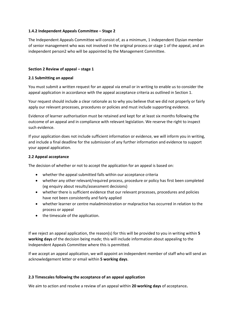### **1.4.2 Independent Appeals Committee – Stage 2**

The Independent Appeals Committee will consist of, as a minimum, 1 independent Elysian member of senior management who was not involved in the original process or stage 1 of the appeal, and an independent person2 who will be appointed by the Management Committee.

#### **Section 2 Review of appeal – stage 1**

#### **2.1 Submitting an appeal**

You must submit a written request for an appeal via email or in writing to enable us to consider the appeal application in accordance with the appeal acceptance criteria as outlined in Section 1.

Your request should include a clear rationale as to why you believe that we did not properly or fairly apply our relevant processes, procedures or policies and must include supporting evidence.

Evidence of learner authorisation must be retained and kept for at least six months following the outcome of an appeal and in compliance with relevant legislation. We reserve the right to inspect such evidence.

If your application does not include sufficient information or evidence, we will inform you in writing, and include a final deadline for the submission of any further information and evidence to support your appeal application.

#### **2.2 Appeal acceptance**

The decision of whether or not to accept the application for an appeal is based on:

- whether the appeal submitted falls within our acceptance criteria
- whether any other relevant/required process, procedure or policy has first been completed (eg enquiry about results/assessment decisions)
- whether there is sufficient evidence that our relevant processes, procedures and policies have not been consistently and fairly applied
- whether learner or centre maladministration or malpractice has occurred in relation to the process or appeal
- the timescale of the application.

If we reject an appeal application, the reason(s) for this will be provided to you in writing within **5 working days** of the decision being made; this will include information about appealing to the Independent Appeals Committee where this is permitted.

If we accept an appeal application, we will appoint an independent member of staff who will send an acknowledgement letter or email within **5 working days**.

#### **2.3 Timescales following the acceptance of an appeal application**

We aim to action and resolve a review of an appeal within **20 working days** of acceptance**.**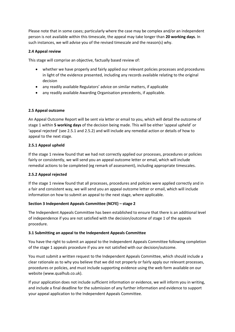Please note that in some cases; particularly where the case may be complex and/or an independent person is not available within this timescale, the appeal may take longer than **20 working days**. In such instances, we will advise you of the revised timescale and the reason(s) why.

# **2.4 Appeal review**

This stage will comprise an objective, factually based review of:

- whether we have properly and fairly applied our relevant policies processes and procedures in light of the evidence presented, including any records available relating to the original decision
- any readily available Regulators' advice on similar matters, if applicable
- any readily available Awarding Organisation precedents, if applicable.

# **2.5 Appeal outcome**

An Appeal Outcome Report will be sent via letter or email to you, which will detail the outcome of stage 1 within **5 working days** of the decision being made. This will be either 'appeal upheld' or 'appeal rejected' (see 2.5.1 and 2.5.2) and will include any remedial action or details of how to appeal to the next stage.

# **2.5.1 Appeal upheld**

If the stage 1 review found that we had not correctly applied our processes, procedures or policies fairly or consistently, we will send you an appeal outcome letter or email, which will include remedial actions to be completed (eg remark of assessment), including appropriate timescales.

# **2.5.2 Appeal rejected**

If the stage 1 review found that all processes, procedures and policies were applied correctly and in a fair and consistent way, we will send you an appeal outcome letter or email, which will include information on how to submit an appeal to the next stage, where applicable.

# **Section 3 Independent Appeals Committee (NCFE) – stage 2**

The Independent Appeals Committee has been established to ensure that there is an additional level of independence if you are not satisfied with the decision/outcome of stage 1 of the appeals procedure.

# **3.1 Submitting an appeal to the Independent Appeals Committee**

You have the right to submit an appeal to the Independent Appeals Committee following completion of the stage 1 appeals procedure if you are not satisfied with our decision/outcome.

You must submit a written request to the Independent Appeals Committee, which should include a clear rationale as to why you believe that we did not properly or fairly apply our relevant processes, procedures or policies, and must include supporting evidence using the web form available on our website (www.qualhub.co.uk).

If your application does not include sufficient information or evidence, we will inform you in writing, and include a final deadline for the submission of any further information and evidence to support your appeal application to the Independent Appeals Committee.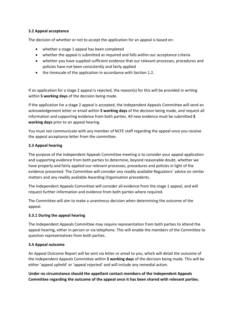#### **3.2 Appeal acceptance**

The decision of whether or not to accept the application for an appeal is based on:

- whether a stage 1 appeal has been completed
- whether the appeal is submitted as required and falls within our acceptance criteria
- whether you have supplied sufficient evidence that our relevant processes, procedures and policies have not been consistently and fairly applied
- the timescale of the application in accordance with Section 1.2.

If an application for a stage 2 appeal is rejected, the reason(s) for this will be provided in writing within **5 working days** of the decision being made.

If the application for a stage 2 appeal is accepted, the Independent Appeals Committee will send an acknowledgement letter or email within **5 working days** of the decision being made, and request all information and supporting evidence from both parties. All new evidence must be submitted **5 working days** prior to an appeal hearing.

You must not communicate with any member of NCFE staff regarding the appeal once you receive the appeal acceptance letter from the committee.

#### **3.3 Appeal hearing**

The purpose of the Independent Appeals Committee meeting is to consider your appeal application and supporting evidence from both parties to determine, beyond reasonable doubt, whether we have properly and fairly applied our relevant processes, procedures and policies in light of the evidence presented. The Committee will consider any readily available Regulators' advice on similar matters and any readily available Awarding Organisation precedents.

The Independent Appeals Committee will consider all evidence from the stage 1 appeal, and will request further information and evidence from both parties where required.

The Committee will aim to make a unanimous decision when determining the outcome of the appeal.

#### **3.3.1 During the appeal hearing**

The Independent Appeals Committee may require representation from both parties to attend the appeal hearing, either in person or via telephone. This will enable the members of the Committee to question representatives from both parties.

#### **3.4 Appeal outcome**

An Appeal Outcome Report will be sent via letter or email to you, which will detail the outcome of the Independent Appeals Committee within **5 working days** of the decision being made. This will be either 'appeal upheld' or 'appeal rejected' and will include any remedial action.

**Under no circumstance should the appellant contact members of the Independent Appeals Committee regarding the outcome of the appeal once it has been shared with relevant parties.**